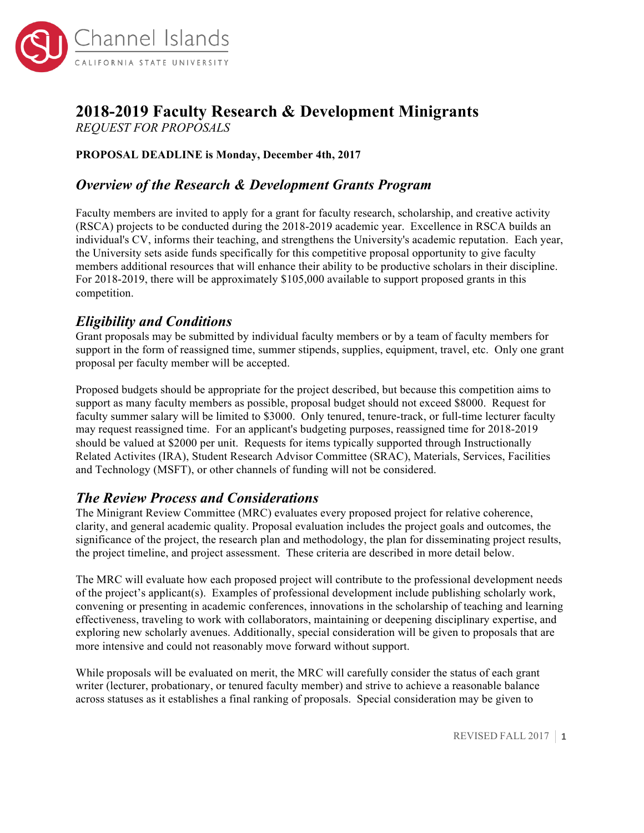

# **2018-2019 Faculty Research & Development Minigrants**

*REQUEST FOR PROPOSALS*

#### **PROPOSAL DEADLINE is Monday, December 4th, 2017**

## *Overview of the Research & Development Grants Program*

Faculty members are invited to apply for a grant for faculty research, scholarship, and creative activity (RSCA) projects to be conducted during the 2018-2019 academic year. Excellence in RSCA builds an individual's CV, informs their teaching, and strengthens the University's academic reputation. Each year, the University sets aside funds specifically for this competitive proposal opportunity to give faculty members additional resources that will enhance their ability to be productive scholars in their discipline. For 2018-2019, there will be approximately \$105,000 available to support proposed grants in this competition.

## *Eligibility and Conditions*

Grant proposals may be submitted by individual faculty members or by a team of faculty members for support in the form of reassigned time, summer stipends, supplies, equipment, travel, etc. Only one grant proposal per faculty member will be accepted.

Proposed budgets should be appropriate for the project described, but because this competition aims to support as many faculty members as possible, proposal budget should not exceed \$8000. Request for faculty summer salary will be limited to \$3000. Only tenured, tenure-track, or full-time lecturer faculty may request reassigned time. For an applicant's budgeting purposes, reassigned time for 2018-2019 should be valued at \$2000 per unit. Requests for items typically supported through Instructionally Related Activites (IRA), Student Research Advisor Committee (SRAC), Materials, Services, Facilities and Technology (MSFT), or other channels of funding will not be considered.

# *The Review Process and Considerations*

The Minigrant Review Committee (MRC) evaluates every proposed project for relative coherence, clarity, and general academic quality. Proposal evaluation includes the project goals and outcomes, the significance of the project, the research plan and methodology, the plan for disseminating project results, the project timeline, and project assessment. These criteria are described in more detail below.

The MRC will evaluate how each proposed project will contribute to the professional development needs of the project's applicant(s). Examples of professional development include publishing scholarly work, convening or presenting in academic conferences, innovations in the scholarship of teaching and learning effectiveness, traveling to work with collaborators, maintaining or deepening disciplinary expertise, and exploring new scholarly avenues. Additionally, special consideration will be given to proposals that are more intensive and could not reasonably move forward without support.

While proposals will be evaluated on merit, the MRC will carefully consider the status of each grant writer (lecturer, probationary, or tenured faculty member) and strive to achieve a reasonable balance across statuses as it establishes a final ranking of proposals. Special consideration may be given to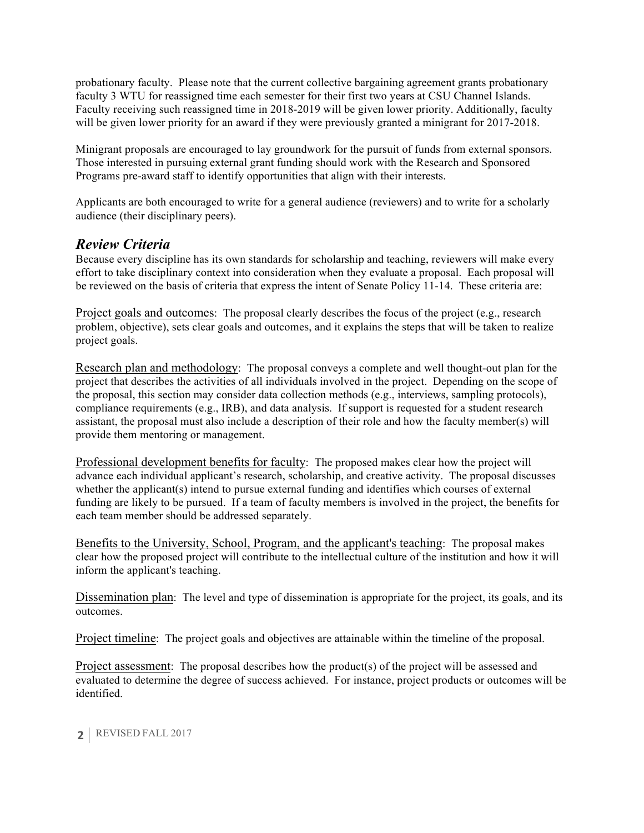probationary faculty. Please note that the current collective bargaining agreement grants probationary faculty 3 WTU for reassigned time each semester for their first two years at CSU Channel Islands. Faculty receiving such reassigned time in 2018-2019 will be given lower priority. Additionally, faculty will be given lower priority for an award if they were previously granted a minigrant for 2017-2018.

Minigrant proposals are encouraged to lay groundwork for the pursuit of funds from external sponsors. Those interested in pursuing external grant funding should work with the Research and Sponsored Programs pre-award staff to identify opportunities that align with their interests.

Applicants are both encouraged to write for a general audience (reviewers) and to write for a scholarly audience (their disciplinary peers).

## *Review Criteria*

Because every discipline has its own standards for scholarship and teaching, reviewers will make every effort to take disciplinary context into consideration when they evaluate a proposal. Each proposal will be reviewed on the basis of criteria that express the intent of Senate Policy 11-14. These criteria are:

Project goals and outcomes: The proposal clearly describes the focus of the project (e.g., research problem, objective), sets clear goals and outcomes, and it explains the steps that will be taken to realize project goals.

Research plan and methodology: The proposal conveys a complete and well thought-out plan for the project that describes the activities of all individuals involved in the project. Depending on the scope of the proposal, this section may consider data collection methods (e.g., interviews, sampling protocols), compliance requirements (e.g., IRB), and data analysis. If support is requested for a student research assistant, the proposal must also include a description of their role and how the faculty member(s) will provide them mentoring or management.

Professional development benefits for faculty: The proposed makes clear how the project will advance each individual applicant's research, scholarship, and creative activity. The proposal discusses whether the applicant(s) intend to pursue external funding and identifies which courses of external funding are likely to be pursued. If a team of faculty members is involved in the project, the benefits for each team member should be addressed separately.

Benefits to the University, School, Program, and the applicant's teaching: The proposal makes clear how the proposed project will contribute to the intellectual culture of the institution and how it will inform the applicant's teaching.

Dissemination plan: The level and type of dissemination is appropriate for the project, its goals, and its outcomes.

Project timeline: The project goals and objectives are attainable within the timeline of the proposal.

Project assessment: The proposal describes how the product(s) of the project will be assessed and evaluated to determine the degree of success achieved. For instance, project products or outcomes will be identified.

#### **2** REVISED FALL 2017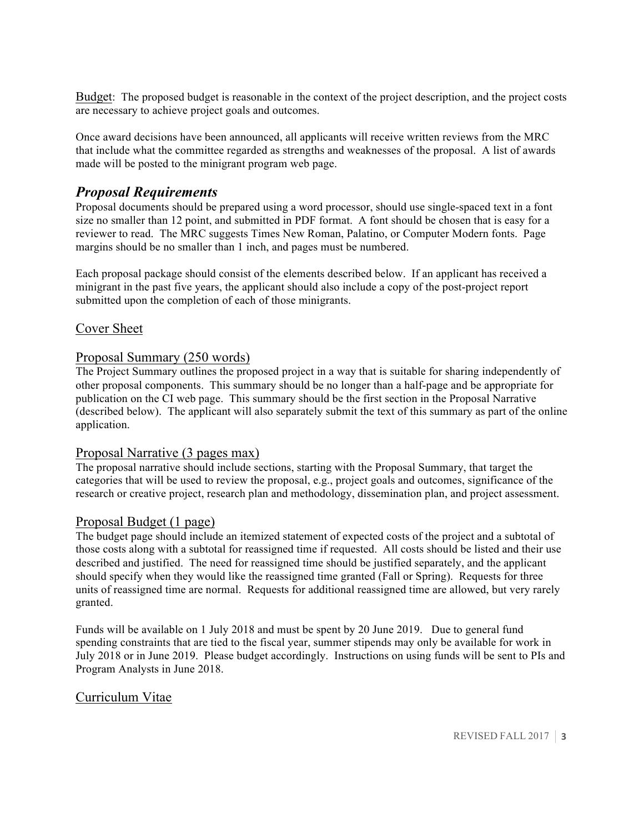Budget: The proposed budget is reasonable in the context of the project description, and the project costs are necessary to achieve project goals and outcomes.

Once award decisions have been announced, all applicants will receive written reviews from the MRC that include what the committee regarded as strengths and weaknesses of the proposal. A list of awards made will be posted to the minigrant program web page.

## *Proposal Requirements*

Proposal documents should be prepared using a word processor, should use single-spaced text in a font size no smaller than 12 point, and submitted in PDF format. A font should be chosen that is easy for a reviewer to read. The MRC suggests Times New Roman, Palatino, or Computer Modern fonts. Page margins should be no smaller than 1 inch, and pages must be numbered.

Each proposal package should consist of the elements described below. If an applicant has received a minigrant in the past five years, the applicant should also include a copy of the post-project report submitted upon the completion of each of those minigrants.

### Cover Sheet

#### Proposal Summary (250 words)

The Project Summary outlines the proposed project in a way that is suitable for sharing independently of other proposal components. This summary should be no longer than a half-page and be appropriate for publication on the CI web page. This summary should be the first section in the Proposal Narrative (described below). The applicant will also separately submit the text of this summary as part of the online application.

#### Proposal Narrative (3 pages max)

The proposal narrative should include sections, starting with the Proposal Summary, that target the categories that will be used to review the proposal, e.g., project goals and outcomes, significance of the research or creative project, research plan and methodology, dissemination plan, and project assessment.

#### Proposal Budget (1 page)

The budget page should include an itemized statement of expected costs of the project and a subtotal of those costs along with a subtotal for reassigned time if requested. All costs should be listed and their use described and justified. The need for reassigned time should be justified separately, and the applicant should specify when they would like the reassigned time granted (Fall or Spring). Requests for three units of reassigned time are normal. Requests for additional reassigned time are allowed, but very rarely granted.

Funds will be available on 1 July 2018 and must be spent by 20 June 2019. Due to general fund spending constraints that are tied to the fiscal year, summer stipends may only be available for work in July 2018 or in June 2019. Please budget accordingly. Instructions on using funds will be sent to PIs and Program Analysts in June 2018.

#### Curriculum Vitae